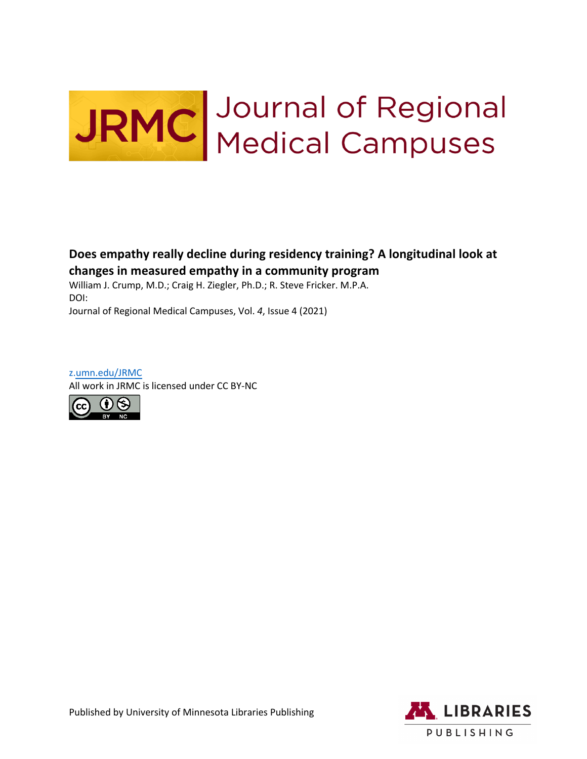# **JRMC** Journal of Regional<br>Medical Campuses

## **Does empathy really decline during residency training? A longitudinal look at changes in measured empathy in a community program**

William J. Crump, M.D.; Craig H. Ziegler, Ph.D.; R. Steve Fricker. M.P.A. DOI: https://doi.org/10.24926/jrmc.v4i4X.4206 Journal of Regional Medical Campuses, Vol. *4*, Issue 4 (2021)

z.umn.edu/JRMC All work in JRMC is licensed under CC BY-NC



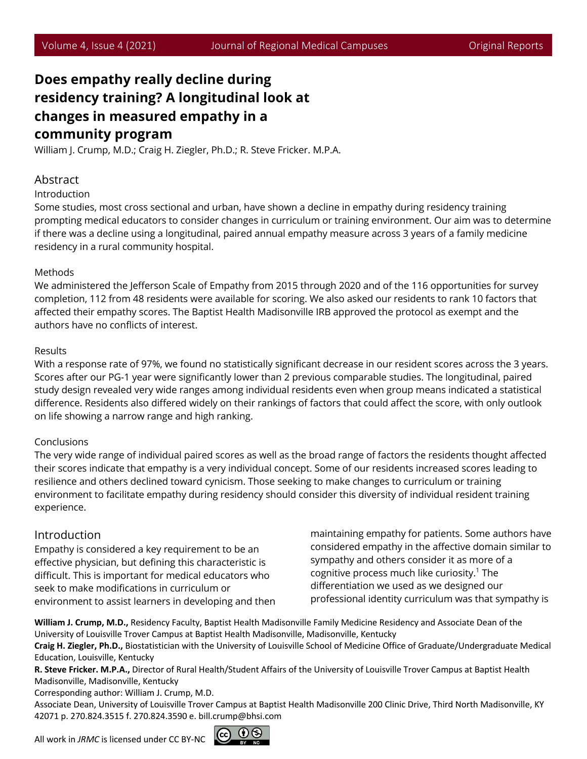# **Does empathy really decline during residency training? A longitudinal look at changes in measured empathy in a community program**

William J. Crump, M.D.; Craig H. Ziegler, Ph.D.; R. Steve Fricker. M.P.A.

## Abstract

## Introduction

Some studies, most cross sectional and urban, have shown a decline in empathy during residency training prompting medical educators to consider changes in curriculum or training environment. Our aim was to determine if there was a decline using a longitudinal, paired annual empathy measure across 3 years of a family medicine residency in a rural community hospital.

## Methods

We administered the Jefferson Scale of Empathy from 2015 through 2020 and of the 116 opportunities for survey completion, 112 from 48 residents were available for scoring. We also asked our residents to rank 10 factors that affected their empathy scores. The Baptist Health Madisonville IRB approved the protocol as exempt and the authors have no conflicts of interest.

## Results

With a response rate of 97%, we found no statistically significant decrease in our resident scores across the 3 years. Scores after our PG-1 year were significantly lower than 2 previous comparable studies. The longitudinal, paired study design revealed very wide ranges among individual residents even when group means indicated a statistical difference. Residents also differed widely on their rankings of factors that could affect the score, with only outlook on life showing a narrow range and high ranking.

## Conclusions

The very wide range of individual paired scores as well as the broad range of factors the residents thought affected their scores indicate that empathy is a very individual concept. Some of our residents increased scores leading to resilience and others declined toward cynicism. Those seeking to make changes to curriculum or training environment to facilitate empathy during residency should consider this diversity of individual resident training experience.

## Introduction

Empathy is considered a key requirement to be an effective physician, but defining this characteristic is difficult. This is important for medical educators who seek to make modifications in curriculum or environment to assist learners in developing and then maintaining empathy for patients. Some authors have considered empathy in the affective domain similar to sympathy and others consider it as more of a cognitive process much like curiosity. $1$  The differentiation we used as we designed our professional identity curriculum was that sympathy is

**William J. Crump, M.D.,** Residency Faculty, Baptist Health Madisonville Family Medicine Residency and Associate Dean of the University of Louisville Trover Campus at Baptist Health Madisonville, Madisonville, Kentucky

**Craig H. Ziegler, Ph.D.,** Biostatistician with the University of Louisville School of Medicine Office of Graduate/Undergraduate Medical Education, Louisville, Kentucky

**R. Steve Fricker. M.P.A.,** Director of Rural Health/Student Affairs of the University of Louisville Trover Campus at Baptist Health Madisonville, Madisonville, Kentucky

Corresponding author: William J. Crump, M.D.

Associate Dean, University of Louisville Trover Campus at Baptist Health Madisonville 200 Clinic Drive, Third North Madisonville, KY 42071 p. 270.824.3515 f. 270.824.3590 e. bill.crump@bhsi.com

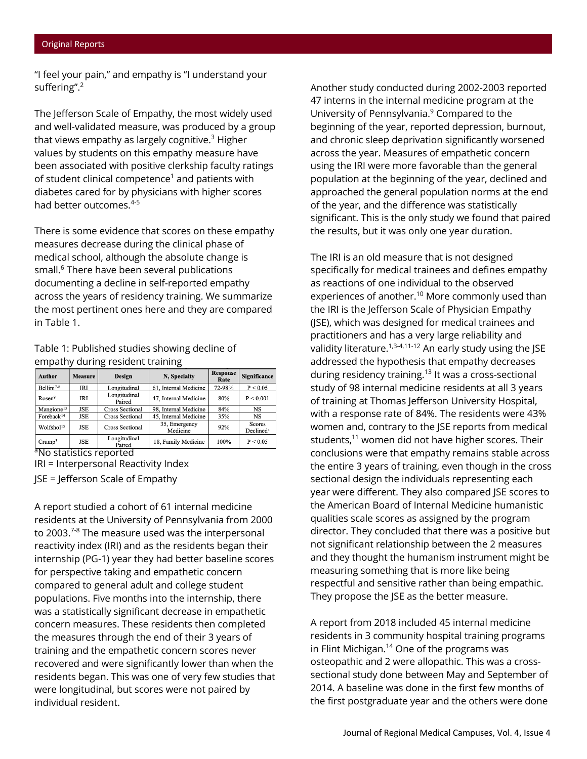"I feel your pain," and empathy is "I understand your suffering".<sup>2</sup>

The Jefferson Scale of Empathy, the most widely used and well-validated measure, was produced by a group that views empathy as largely cognitive.<sup>3</sup> Higher values by students on this empathy measure have been associated with positive clerkship faculty ratings of student clinical competence<sup>1</sup> and patients with diabetes cared for by physicians with higher scores had better outcomes. 4-5

There is some evidence that scores on these empathy measures decrease during the clinical phase of medical school, although the absolute change is small. <sup>6</sup> There have been several publications documenting a decline in self-reported empathy across the years of residency training. We summarize the most pertinent ones here and they are compared in Table 1.

### Table 1: Published studies showing decline of empathy during resident training

| Author                 | <b>Measure</b> | Design                 | N, Specialty              | <b>Response</b><br>Rate | <b>Significance</b>                    |
|------------------------|----------------|------------------------|---------------------------|-------------------------|----------------------------------------|
| Bellini <sup>7-8</sup> | IRI            | Longitudinal           | 61. Internal Medicine     | 72-98%                  | P < 0.05                               |
| Rosen <sup>9</sup>     | <b>IRI</b>     | Longitudinal<br>Paired | 47, Internal Medicine     | 80%                     | P < 0.001                              |
| Mangione <sup>13</sup> | <b>JSE</b>     | Cross Sectional        | 98. Internal Medicine     | 84%                     | NS                                     |
| Foreback <sup>14</sup> | JSE            | <b>Cross Sectional</b> | 45, Internal Medicine     | 35%                     | <b>NS</b>                              |
| Wolfshol <sup>15</sup> | <b>JSE</b>     | Cross Sectional        | 35, Emergency<br>Medicine | 92%                     | <b>Scores</b><br>Declined <sup>a</sup> |
| Crump <sup>3</sup>     | <b>JSE</b>     | Longitudinal<br>Paired | 18, Family Medicine       | 100%                    | P < 0.05                               |

<sup>a</sup>No statistics reported

IRI = Interpersonal Reactivity Index

JSE = Jefferson Scale of Empathy

A report studied a cohort of 61 internal medicine residents at the University of Pennsylvania from 2000 to 2003.<sup>7-8</sup> The measure used was the interpersonal reactivity index (IRI) and as the residents began their internship (PG-1) year they had better baseline scores for perspective taking and empathetic concern compared to general adult and college student populations. Five months into the internship, there was a statistically significant decrease in empathetic concern measures. These residents then completed the measures through the end of their 3 years of training and the empathetic concern scores never recovered and were significantly lower than when the residents began. This was one of very few studies that were longitudinal, but scores were not paired by individual resident.

Another study conducted during 2002-2003 reported 47 interns in the internal medicine program at the University of Pennsylvania. <sup>9</sup> Compared to the beginning of the year, reported depression, burnout, and chronic sleep deprivation significantly worsened across the year. Measures of empathetic concern using the IRI were more favorable than the general population at the beginning of the year, declined and approached the general population norms at the end of the year, and the difference was statistically significant. This is the only study we found that paired the results, but it was only one year duration.

The IRI is an old measure that is not designed specifically for medical trainees and defines empathy as reactions of one individual to the observed experiences of another. <sup>10</sup> More commonly used than the IRI is the Jefferson Scale of Physician Empathy (JSE), which was designed for medical trainees and practitioners and has a very large reliability and validity literature.<sup>1,3-4,11-12</sup> An early study using the JSE addressed the hypothesis that empathy decreases during residency training. <sup>13</sup> It was a cross-sectional study of 98 internal medicine residents at all 3 years of training at Thomas Jefferson University Hospital, with a response rate of 84%. The residents were 43% women and, contrary to the JSE reports from medical students, <sup>11</sup> women did not have higher scores. Their conclusions were that empathy remains stable across the entire 3 years of training, even though in the cross sectional design the individuals representing each year were different. They also compared JSE scores to the American Board of Internal Medicine humanistic qualities scale scores as assigned by the program director. They concluded that there was a positive but not significant relationship between the 2 measures and they thought the humanism instrument might be measuring something that is more like being respectful and sensitive rather than being empathic. They propose the JSE as the better measure.

A report from 2018 included 45 internal medicine residents in 3 community hospital training programs in Flint Michigan. <sup>14</sup> One of the programs was osteopathic and 2 were allopathic. This was a crosssectional study done between May and September of 2014. A baseline was done in the first few months of the first postgraduate year and the others were done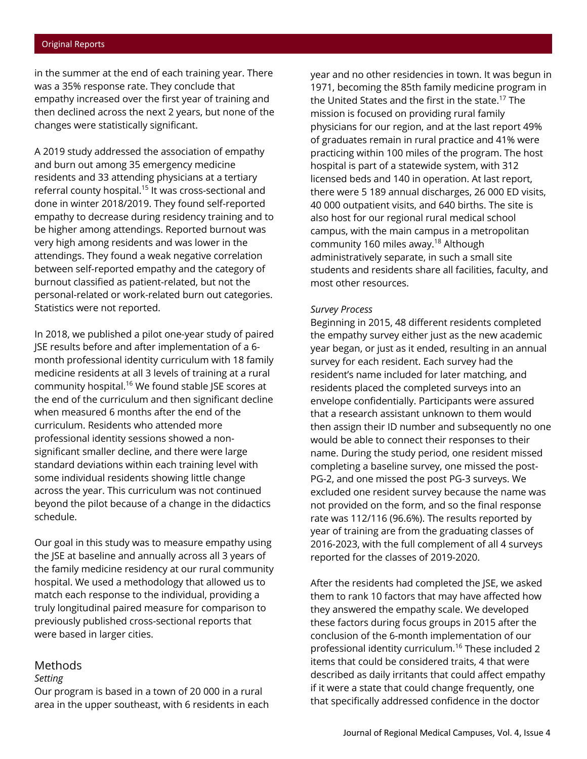#### Original Reports

in the summer at the end of each training year. There was a 35% response rate. They conclude that empathy increased over the first year of training and then declined across the next 2 years, but none of the changes were statistically significant.

A 2019 study addressed the association of empathy and burn out among 35 emergency medicine residents and 33 attending physicians at a tertiary referral county hospital. <sup>15</sup> It was cross-sectional and done in winter 2018/2019. They found self-reported empathy to decrease during residency training and to be higher among attendings. Reported burnout was very high among residents and was lower in the attendings. They found a weak negative correlation between self-reported empathy and the category of burnout classified as patient-related, but not the personal-related or work-related burn out categories. Statistics were not reported.

In 2018, we published a pilot one-year study of paired JSE results before and after implementation of a 6 month professional identity curriculum with 18 family medicine residents at all 3 levels of training at a rural community hospital. <sup>16</sup> We found stable JSE scores at the end of the curriculum and then significant decline when measured 6 months after the end of the curriculum. Residents who attended more professional identity sessions showed a nonsignificant smaller decline, and there were large standard deviations within each training level with some individual residents showing little change across the year. This curriculum was not continued beyond the pilot because of a change in the didactics schedule.

Our goal in this study was to measure empathy using the JSE at baseline and annually across all 3 years of the family medicine residency at our rural community hospital. We used a methodology that allowed us to match each response to the individual, providing a truly longitudinal paired measure for comparison to previously published cross-sectional reports that were based in larger cities.

#### Methods

#### *Setting*

Our program is based in a town of 20 000 in a rural area in the upper southeast, with 6 residents in each year and no other residencies in town. It was begun in 1971, becoming the 85th family medicine program in the United States and the first in the state.<sup>17</sup> The mission is focused on providing rural family physicians for our region, and at the last report 49% of graduates remain in rural practice and 41% were practicing within 100 miles of the program. The host hospital is part of a statewide system, with 312 licensed beds and 140 in operation. At last report, there were 5 189 annual discharges, 26 000 ED visits, 40 000 outpatient visits, and 640 births. The site is also host for our regional rural medical school campus, with the main campus in a metropolitan community 160 miles away. <sup>18</sup> Although administratively separate, in such a small site students and residents share all facilities, faculty, and most other resources.

#### *Survey Process*

Beginning in 2015, 48 different residents completed the empathy survey either just as the new academic year began, or just as it ended, resulting in an annual survey for each resident. Each survey had the resident's name included for later matching, and residents placed the completed surveys into an envelope confidentially. Participants were assured that a research assistant unknown to them would then assign their ID number and subsequently no one would be able to connect their responses to their name. During the study period, one resident missed completing a baseline survey, one missed the post-PG-2, and one missed the post PG-3 surveys. We excluded one resident survey because the name was not provided on the form, and so the final response rate was 112/116 (96.6%). The results reported by year of training are from the graduating classes of 2016-2023, with the full complement of all 4 surveys reported for the classes of 2019-2020.

After the residents had completed the JSE, we asked them to rank 10 factors that may have affected how they answered the empathy scale. We developed these factors during focus groups in 2015 after the conclusion of the 6-month implementation of our professional identity curriculum. <sup>16</sup> These included 2 items that could be considered traits, 4 that were described as daily irritants that could affect empathy if it were a state that could change frequently, one that specifically addressed confidence in the doctor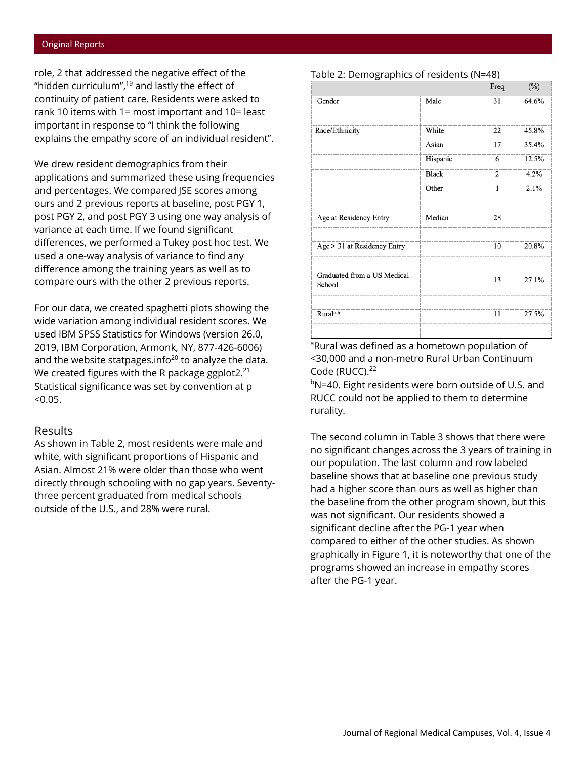#### Original Reports

role, 2 that addressed the negative effect of the "hidden curriculum", $^{\rm 19}$  and lastly the effect of continuity of patient care. Residents were asked to rank 10 items with 1= most important and 10= least important in response to "I think the following explains the empathy score of an individual resident".

We drew resident demographics from their applications and summarized these using frequencies and percentages. We compared JSE scores among ours and 2 previous reports at baseline, post PGY 1, post PGY 2, and post PGY 3 using one way analysis of variance at each time. If we found significant differences, we performed a Tukey post hoc test. We used a one-way analysis of variance to find any difference among the training years as well as to compare ours with the other 2 previous reports.

For our data, we created spaghetti plots showing the wide variation among individual resident scores. We used IBM SPSS Statistics for Windows (version 26.0, 2019, IBM Corporation, Armonk, NY, 877-426-6006) and the website statpages.info<sup>20</sup> to analyze the data. We created figures with the R package ggplot2. $^{\mathsf{21}}$ Statistical significance was set by convention at p  $< 0.05.$ 

#### Results

As shown in Table 2, most residents were male and white, with significant proportions of Hispanic and Asian. Almost 21% were older than those who went directly through schooling with no gap years. Seventythree percent graduated from medical schools outside of the U.S., and 28% were rural.

Table 2: Demographics of residents (N=48)

|                                       |              | Freq           | $(\%)$ |
|---------------------------------------|--------------|----------------|--------|
| Gender                                | Male         | 31             | 64.6%  |
|                                       |              |                |        |
| Race/Ethnicity                        | White        | 22             | 45.8%  |
|                                       | Asian        | 17             | 35.4%  |
|                                       | Hispanic     | 6              | 12.5%  |
|                                       | <b>Black</b> | $\overline{c}$ | 4.2%   |
|                                       | Other        | 1              | 2.1%   |
|                                       |              |                |        |
| Age at Residency Entry                | Median       | 28             |        |
|                                       |              |                |        |
| Age > 31 at Residency Entry           |              | 10             | 20.8%  |
|                                       |              |                |        |
| Graduated from a US Medical<br>School |              | 13             | 27.1%  |
|                                       |              |                |        |
| Rurala,b                              |              | 11             | 27.5%  |
|                                       |              |                |        |

<sup>a</sup>Rural was defined as a hometown population of <30,000 and a non-metro Rural Urban Continuum Code (RUCC).<sup>22</sup>

<sup>b</sup>N=40. Eight residents were born outside of U.S. and RUCC could not be applied to them to determine rurality.

The second column in Table 3 shows that there were no significant changes across the 3 years of training in our population. The last column and row labeled baseline shows that at baseline one previous study had a higher score than ours as well as higher than the baseline from the other program shown, but this was not significant. Our residents showed a significant decline after the PG-1 year when compared to either of the other studies. As shown graphically in Figure 1, it is noteworthy that one of the programs showed an increase in empathy scores after the PG-1 year.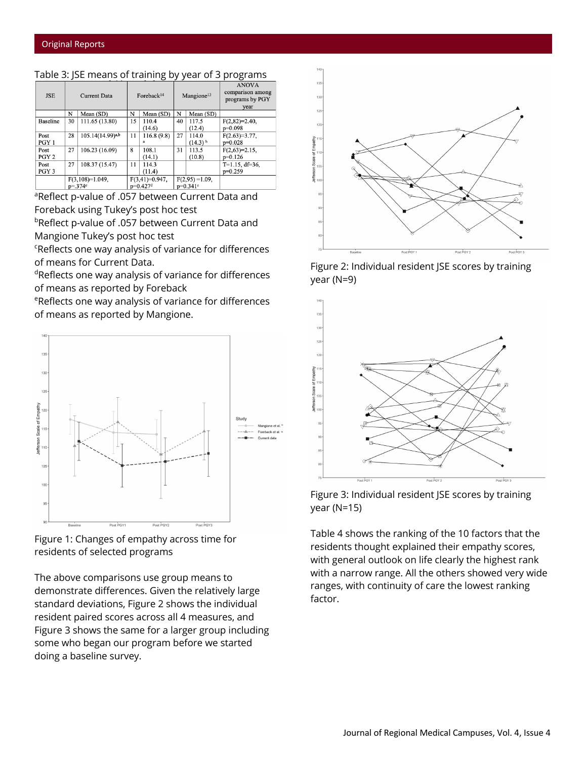| <b>JSE</b>       | <b>Current Data</b> |                  | Foreback <sup>14</sup> |                   | Mangione <sup>13</sup> |                       | <b>ANOVA</b><br>comparison among<br>programs by PGY<br>year |
|------------------|---------------------|------------------|------------------------|-------------------|------------------------|-----------------------|-------------------------------------------------------------|
|                  | N                   | Mean (SD)        | N                      | Mean (SD)         | N                      | Mean (SD)             |                                                             |
| <b>Baseline</b>  | 30                  | 111.65 (13.80)   | 15                     | 110.4             | 40                     | 117.5                 | $F(2,82)=2.40$ ,                                            |
|                  |                     |                  |                        | (14.6)            |                        | (12.4)                | $p=0.098$                                                   |
| Post             | 28                  | 105.14(14.99)a,b | 11                     | 116.8(9.8)        | 27                     | 114.0                 | $F(2.63)=3.77$ ,                                            |
| PGY 1            |                     |                  |                        |                   |                        | $(14.3)$ <sup>b</sup> | $p=0.028$                                                   |
| Post             | 27                  | 106.23 (16.09)   | 8                      | 108.1             | 31                     | 113.5                 | $F(2,63)=2.15$ ,                                            |
| PGY <sub>2</sub> |                     |                  |                        | (14.1)            |                        | (10.8)                | $p=0.126$                                                   |
| Post             | 27                  | 108.37 (15.47)   | 11                     | 114.3             |                        |                       | $T=1.15$ , df=36,                                           |
| PGY 3            |                     |                  |                        | (11.4)            |                        |                       | $p=0.259$                                                   |
|                  | $F(3,108)=1.049$ ,  |                  |                        | $F(3,41)=0.947$ , |                        | $F(2,95) = 1.09$ ,    |                                                             |
|                  | $p = 374$ °         |                  | $p=0.427d$             |                   | $p=0.341e$             |                       |                                                             |

#### Table 3: JSE means of training by year of 3 programs

<sup>a</sup>Reflect p-value of .057 between Current Data and Foreback using Tukey's post hoc test

b Reflect p-value of .057 between Current Data and Mangione Tukey's post hoc test

<sup>c</sup>Reflects one way analysis of variance for differences of means for Current Data.

<sup>d</sup>Reflects one way analysis of variance for differences of means as reported by Foreback

e Reflects one way analysis of variance for differences of means as reported by Mangione.



Figure 1: Changes of empathy across time for residents of selected programs

The above comparisons use group means to demonstrate differences. Given the relatively large standard deviations, Figure 2 shows the individual resident paired scores across all 4 measures, and Figure 3 shows the same for a larger group including some who began our program before we started doing a baseline survey.



Figure 2: Individual resident JSE scores by training year (N=9)



Figure 3: Individual resident JSE scores by training year (N=15)

Table 4 shows the ranking of the 10 factors that the residents thought explained their empathy scores, with general outlook on life clearly the highest rank with a narrow range. All the others showed very wide ranges, with continuity of care the lowest ranking factor.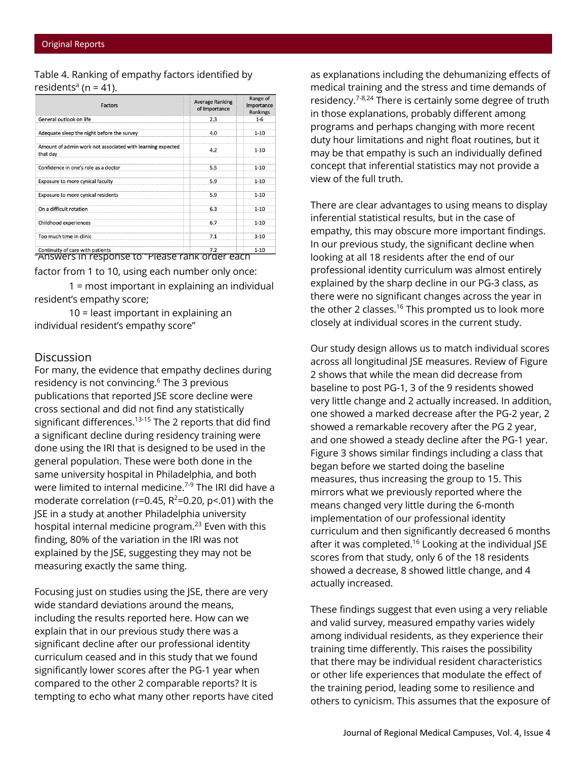### Table 4. Ranking of empathy factors identified by residents<sup>a</sup> (n = 41).

| Factors                                                                | <b>Average Ranking</b><br>of Importance | Range of<br>Importance<br>Rankings |
|------------------------------------------------------------------------|-----------------------------------------|------------------------------------|
| General outlook on life                                                | 2.3                                     | $1-6$                              |
| Adequate sleep the night before the survey                             | 4.0                                     | $1 - 10$                           |
| Amount of admin work not associated with learning expected<br>that day | 4.2                                     | $1 - 10$                           |
| Confidence in one's role as a doctor                                   | 5.5                                     | $1 - 10$                           |
| Exposure to more cynical faculty                                       | 5.9                                     | $1 - 10$                           |
| Exposure to more cynical residents                                     | 5.9                                     | $1 - 10$                           |
| On a difficult rotation                                                | 6.3                                     | $1 - 10$                           |
| Childhood experiences                                                  | 6.7                                     | $1 - 10$                           |
| Too much time in clinic                                                | 7.1                                     | $3-10$                             |
| Cambia uitu af anna uuith matinata                                     | 7 <sub>2</sub>                          | 1.10                               |

Continuity of care with patients<br>
ANSWERS IN RESPONSE TO "PIEASE RANK ORDER EACH factor from 1 to 10, using each number only once:

1 = most important in explaining an individual resident's empathy score;

10 = least important in explaining an individual resident's empathy score"

## **Discussion**

For many, the evidence that empathy declines during residency is not convincing. <sup>6</sup> The 3 previous publications that reported JSE score decline were cross sectional and did not find any statistically significant differences.<sup>13-15</sup> The 2 reports that did find a significant decline during residency training were done using the IRI that is designed to be used in the general population. These were both done in the same university hospital in Philadelphia, and both were limited to internal medicine. 7-9 The IRI did have a moderate correlation (r=0.45,  $R^2$ =0.20, p<.01) with the JSE in a study at another Philadelphia university hospital internal medicine program. <sup>23</sup> Even with this finding, 80% of the variation in the IRI was not explained by the JSE, suggesting they may not be measuring exactly the same thing.

Focusing just on studies using the JSE, there are very wide standard deviations around the means, including the results reported here. How can we explain that in our previous study there was a significant decline after our professional identity curriculum ceased and in this study that we found significantly lower scores after the PG-1 year when compared to the other 2 comparable reports? It is tempting to echo what many other reports have cited as explanations including the dehumanizing effects of medical training and the stress and time demands of residency.<sup>7-8,24</sup> There is certainly some degree of truth in those explanations, probably different among programs and perhaps changing with more recent duty hour limitations and night float routines, but it may be that empathy is such an individually defined concept that inferential statistics may not provide a view of the full truth.

There are clear advantages to using means to display inferential statistical results, but in the case of empathy, this may obscure more important findings. In our previous study, the significant decline when looking at all 18 residents after the end of our professional identity curriculum was almost entirely explained by the sharp decline in our PG-3 class, as there were no significant changes across the year in the other 2 classes. <sup>16</sup> This prompted us to look more closely at individual scores in the current study.

Our study design allows us to match individual scores across all longitudinal JSE measures. Review of Figure 2 shows that while the mean did decrease from baseline to post PG-1, 3 of the 9 residents showed very little change and 2 actually increased. In addition, one showed a marked decrease after the PG-2 year, 2 showed a remarkable recovery after the PG 2 year, and one showed a steady decline after the PG-1 year. Figure 3 shows similar findings including a class that began before we started doing the baseline measures, thus increasing the group to 15. This mirrors what we previously reported where the means changed very little during the 6-month implementation of our professional identity curriculum and then significantly decreased 6 months after it was completed. <sup>16</sup> Looking at the individual JSE scores from that study, only 6 of the 18 residents showed a decrease, 8 showed little change, and 4 actually increased.

These findings suggest that even using a very reliable and valid survey, measured empathy varies widely among individual residents, as they experience their training time differently. This raises the possibility that there may be individual resident characteristics or other life experiences that modulate the effect of the training period, leading some to resilience and others to cynicism. This assumes that the exposure of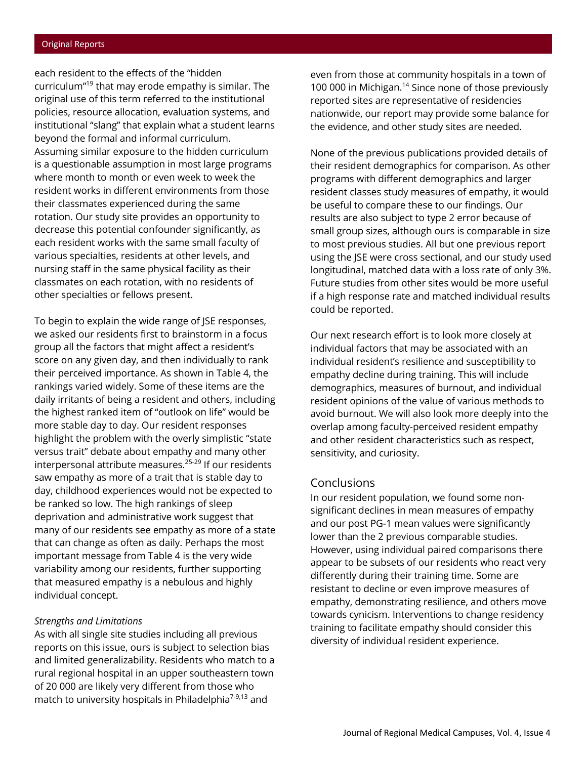each resident to the effects of the "hidden curriculum"<sup>19</sup> that may erode empathy is similar. The original use of this term referred to the institutional policies, resource allocation, evaluation systems, and institutional "slang" that explain what a student learns beyond the formal and informal curriculum. Assuming similar exposure to the hidden curriculum is a questionable assumption in most large programs where month to month or even week to week the resident works in different environments from those their classmates experienced during the same rotation. Our study site provides an opportunity to decrease this potential confounder significantly, as each resident works with the same small faculty of various specialties, residents at other levels, and nursing staff in the same physical facility as their classmates on each rotation, with no residents of other specialties or fellows present.

To begin to explain the wide range of JSE responses, we asked our residents first to brainstorm in a focus group all the factors that might affect a resident's score on any given day, and then individually to rank their perceived importance. As shown in Table 4, the rankings varied widely. Some of these items are the daily irritants of being a resident and others, including the highest ranked item of "outlook on life" would be more stable day to day. Our resident responses highlight the problem with the overly simplistic "state versus trait" debate about empathy and many other interpersonal attribute measures. 25-29 If our residents saw empathy as more of a trait that is stable day to day, childhood experiences would not be expected to be ranked so low. The high rankings of sleep deprivation and administrative work suggest that many of our residents see empathy as more of a state that can change as often as daily. Perhaps the most important message from Table 4 is the very wide variability among our residents, further supporting that measured empathy is a nebulous and highly individual concept.

#### *Strengths and Limitations*

As with all single site studies including all previous reports on this issue, ours is subject to selection bias and limited generalizability. Residents who match to a rural regional hospital in an upper southeastern town of 20 000 are likely very different from those who match to university hospitals in Philadelphia<sup>7-9,13</sup> and

even from those at community hospitals in a town of 100 000 in Michigan.<sup>14</sup> Since none of those previously reported sites are representative of residencies nationwide, our report may provide some balance for the evidence, and other study sites are needed.

None of the previous publications provided details of their resident demographics for comparison. As other programs with different demographics and larger resident classes study measures of empathy, it would be useful to compare these to our findings. Our results are also subject to type 2 error because of small group sizes, although ours is comparable in size to most previous studies. All but one previous report using the JSE were cross sectional, and our study used longitudinal, matched data with a loss rate of only 3%. Future studies from other sites would be more useful if a high response rate and matched individual results could be reported.

Our next research effort is to look more closely at individual factors that may be associated with an individual resident's resilience and susceptibility to empathy decline during training. This will include demographics, measures of burnout, and individual resident opinions of the value of various methods to avoid burnout. We will also look more deeply into the overlap among faculty-perceived resident empathy and other resident characteristics such as respect, sensitivity, and curiosity.

### **Conclusions**

In our resident population, we found some nonsignificant declines in mean measures of empathy and our post PG-1 mean values were significantly lower than the 2 previous comparable studies. However, using individual paired comparisons there appear to be subsets of our residents who react very differently during their training time. Some are resistant to decline or even improve measures of empathy, demonstrating resilience, and others move towards cynicism. Interventions to change residency training to facilitate empathy should consider this diversity of individual resident experience.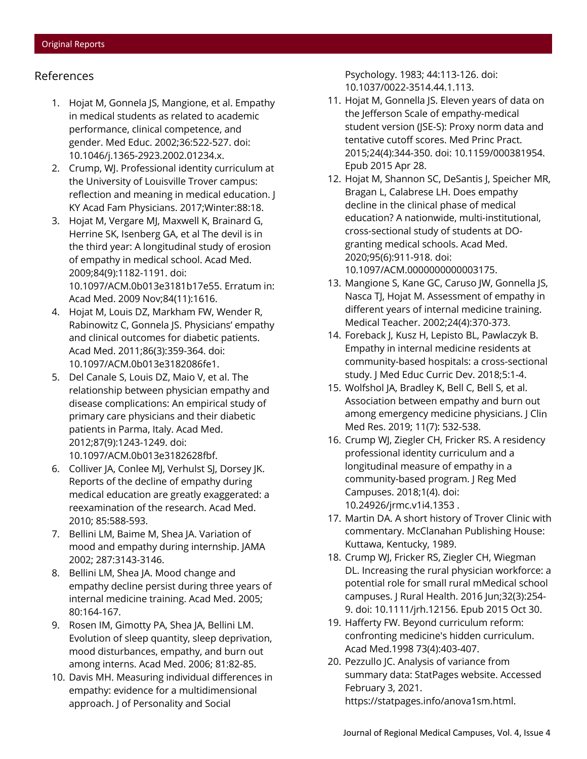## References

- 1. Hojat M, Gonnela JS, Mangione, et al. Empathy in medical students as related to academic performance, clinical competence, and gender. Med Educ. 2002;36:522-527. doi: 10.1046/j.1365-2923.2002.01234.x.
- 2. Crump, WJ. Professional identity curriculum at the University of Louisville Trover campus: reflection and meaning in medical education. J KY Acad Fam Physicians. 2017;Winter:88:18.
- 3. Hojat M, Vergare MJ, Maxwell K, Brainard G, Herrine SK, Isenberg GA, et al The devil is in the third year: A longitudinal study of erosion of empathy in medical school. Acad Med. 2009;84(9):1182-1191. doi: 10.1097/ACM.0b013e3181b17e55. Erratum in: Acad Med. 2009 Nov;84(11):1616.
- 4. Hojat M, Louis DZ, Markham FW, Wender R, Rabinowitz C, Gonnela JS. Physicians' empathy and clinical outcomes for diabetic patients. Acad Med. 2011;86(3):359-364. doi: 10.1097/ACM.0b013e3182086fe1.
- 5. Del Canale S, Louis DZ, Maio V, et al. The relationship between physician empathy and disease complications: An empirical study of primary care physicians and their diabetic patients in Parma, Italy. Acad Med. 2012;87(9):1243-1249. doi: 10.1097/ACM.0b013e3182628fbf.
- 6. Colliver JA, Conlee MJ, Verhulst SJ, Dorsey JK. Reports of the decline of empathy during medical education are greatly exaggerated: a reexamination of the research. Acad Med. 2010; 85:588-593.
- 7. Bellini LM, Baime M, Shea JA. Variation of mood and empathy during internship. JAMA 2002; 287:3143-3146.
- 8. Bellini LM, Shea JA. Mood change and empathy decline persist during three years of internal medicine training. Acad Med. 2005; 80:164-167.
- 9. Rosen IM, Gimotty PA, Shea JA, Bellini LM. Evolution of sleep quantity, sleep deprivation, mood disturbances, empathy, and burn out among interns. Acad Med. 2006; 81:82-85.
- 10. Davis MH. Measuring individual differences in empathy: evidence for a multidimensional approach. J of Personality and Social

Psychology. 1983; 44:113-126. doi: 10.1037/0022-3514.44.1.113.

- 11. Hojat M, Gonnella JS. Eleven years of data on the Jefferson Scale of empathy-medical student version (JSE-S): Proxy norm data and tentative cutoff scores. Med Princ Pract. 2015;24(4):344-350. doi: 10.1159/000381954. Epub 2015 Apr 28.
- 12. Hojat M, Shannon SC, DeSantis J, Speicher MR, Bragan L, Calabrese LH. Does empathy decline in the clinical phase of medical education? A nationwide, multi-institutional, cross-sectional study of students at DOgranting medical schools. Acad Med. 2020;95(6):911-918. doi: 10.1097/ACM.0000000000003175.
- 13. Mangione S, Kane GC, Caruso JW, Gonnella JS, Nasca TJ, Hojat M. Assessment of empathy in different years of internal medicine training. Medical Teacher. 2002;24(4):370-373.
- 14. Foreback J, Kusz H, Lepisto BL, Pawlaczyk B. Empathy in internal medicine residents at community-based hospitals: a cross-sectional study. J Med Educ Curric Dev. 2018;5:1-4.
- 15. Wolfshol JA, Bradley K, Bell C, Bell S, et al. Association between empathy and burn out among emergency medicine physicians. J Clin Med Res. 2019; 11(7): 532-538.
- 16. Crump WJ, Ziegler CH, Fricker RS. A residency professional identity curriculum and a longitudinal measure of empathy in a community-based program. J Reg Med Campuses. 2018;1(4). doi: 10.24926/jrmc.v1i4.1353 .
- 17. Martin DA. A short history of Trover Clinic with commentary. McClanahan Publishing House: Kuttawa, Kentucky, 1989.
- 18. Crump WJ, Fricker RS, Ziegler CH, Wiegman DL. Increasing the rural physician workforce: a potential role for small rural mMedical school campuses. J Rural Health. 2016 Jun;32(3):254- 9. doi: 10.1111/jrh.12156. Epub 2015 Oct 30.
- 19. Hafferty FW. Beyond curriculum reform: confronting medicine's hidden curriculum. Acad Med.1998 73(4):403-407.
- 20. Pezzullo JC. Analysis of variance from summary data: StatPages website. Accessed February 3, 2021. https://statpages.info/anova1sm.html.